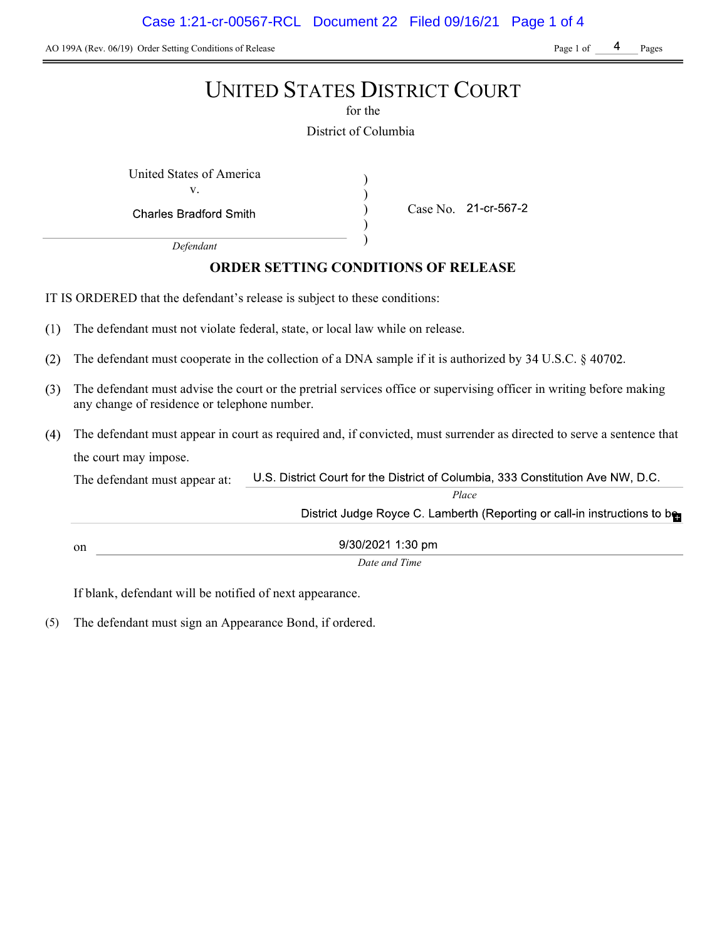AO 199A (Rev. 06/19) Order Setting Conditions of Release Page 1 of Page 1 of Page 1 of Pages

# UNITED STATES DISTRICT COURT

for the

District of Columbia

) ) ) )

United States of America (1992) v.

**Charles Bradford Smith** 

Case No. 21-cr-567-2

Defendant

# ORDER SETTING CONDITIONS OF RELEASE

IT IS ORDERED that the defendant's release is subject to these conditions:

- $(1)$ The defendant must not violate federal, state, or local law while on release.
- $(2)$ The defendant must cooperate in the collection of a DNA sample if it is authorized by  $34 \text{ U.S.C.}$   $\S$  40702.
- The defendant must advise the court or the pretrial services office or supervising officer in writing before making  $(3)$ any change of residence or telephone number.
- The defendant must appear in court as required and, if convicted, must surrender as directed to serve a sentence that the court may impose.

U.S. District Court for the District of Columbia, 333 Constitution Ave NW, D.C. The defendant must appear at: Place District Judge Royce C. Lamberth (Reporting or call-in instructions to be 9/30/2021 1:30 pm on

Date and Time

If blank, defendant will be notified of next appearance.

(5) The defendant must sign an Appearance Bond, if ordered.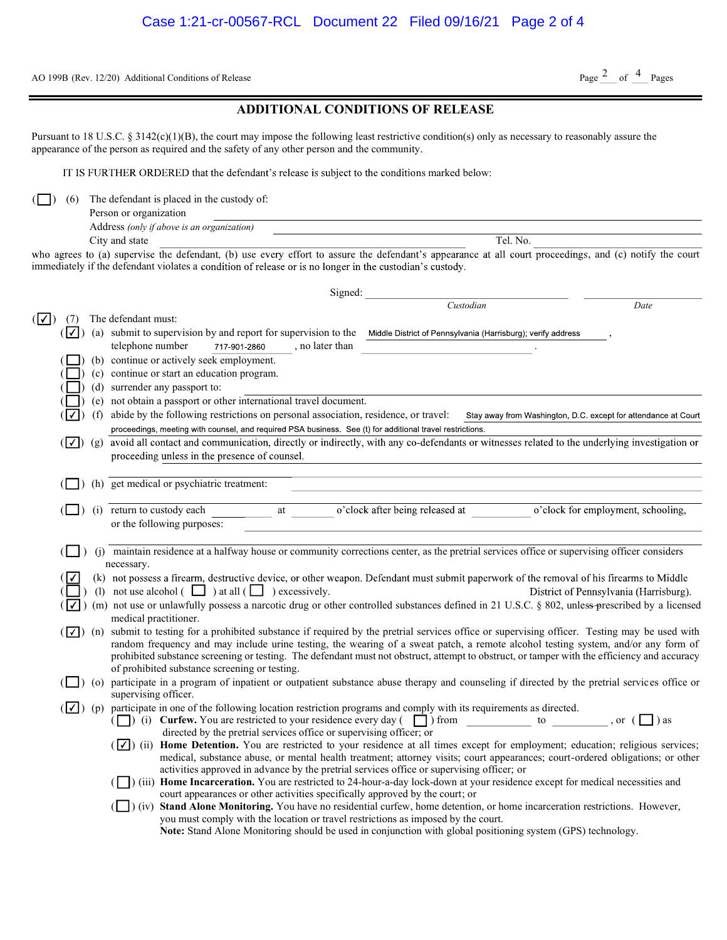AO 199B (Rev. 12/20) Additional Conditions of Release

# Page  $2$  of  $4$  Pages

|  | <b>ADDITIONAL CONDITIONS OF RELEASE</b> |  |
|--|-----------------------------------------|--|
|--|-----------------------------------------|--|

Pursuant to 18 U.S.C. § 3142(c)(1)(B), the court may impose the following least restrictive condition(s) only as necessary to reasonably assure the appearance of the person as required and the safety of any other person and the community.

IT IS FURTHER ORDERED that the defendant's release is subject to the conditions marked below:

 $\Box$ ) (6) The defendant is placed in the custody of:

| Person or organization                     |     |  |
|--------------------------------------------|-----|--|
| Address (only if above is an organization) |     |  |
| C <sub>ity</sub> and state                 | No. |  |

who agrees to (a) supervise the defendant, (b) use every effort to assure the defendant's appearance at all court proceedings, and (c) notify the court immediately if the defendant violates a condition of release or is no longer in the custodian's custody.

|              |     | Signed:                                                                                                                                                                                                                                                                                     |
|--------------|-----|---------------------------------------------------------------------------------------------------------------------------------------------------------------------------------------------------------------------------------------------------------------------------------------------|
|              |     | Custodian<br>Date                                                                                                                                                                                                                                                                           |
| $( \vee )$   |     | The defendant must:                                                                                                                                                                                                                                                                         |
| $(\nabla)$   |     | (a) submit to supervision by and report for supervision to the Middle District of Pennsylvania (Harrisburg); verify address                                                                                                                                                                 |
|              |     | telephone number<br>717-901-2860<br>, no later than                                                                                                                                                                                                                                         |
|              |     | (b) continue or actively seek employment.                                                                                                                                                                                                                                                   |
|              |     | (c) continue or start an education program.                                                                                                                                                                                                                                                 |
|              |     | (d) surrender any passport to:                                                                                                                                                                                                                                                              |
|              |     | (e) not obtain a passport or other international travel document.                                                                                                                                                                                                                           |
| Π∡           | (f) | abide by the following restrictions on personal association, residence, or travel:<br>Stay away from Washington, D.C. except for attendance at Court                                                                                                                                        |
|              |     | proceedings, meeting with counsel, and required PSA business. See (t) for additional travel restrictions.                                                                                                                                                                                   |
| $(\vee)$ (g) |     | avoid all contact and communication, directly or indirectly, with any co-defendants or witnesses related to the underlying investigation or                                                                                                                                                 |
|              |     | proceeding unless in the presence of counsel.                                                                                                                                                                                                                                               |
|              |     |                                                                                                                                                                                                                                                                                             |
|              |     | (h) get medical or psychiatric treatment:                                                                                                                                                                                                                                                   |
|              |     |                                                                                                                                                                                                                                                                                             |
|              |     | o'clock after being released at<br>(i) return to custody each<br>o'clock for employment, schooling,<br>at                                                                                                                                                                                   |
|              |     | or the following purposes:                                                                                                                                                                                                                                                                  |
|              |     |                                                                                                                                                                                                                                                                                             |
|              |     | (j) maintain residence at a halfway house or community corrections center, as the pretrial services office or supervising officer considers                                                                                                                                                 |
|              |     | necessary.<br>(k) not possess a firearm, destructive device, or other weapon. Defendant must submit paperwork of the removal of his firearms to Middle                                                                                                                                      |
|              |     | (1) not use alcohol $\begin{pmatrix} \square \\ \square \end{pmatrix}$ at all $\begin{pmatrix} \square \\ \square \end{pmatrix}$ excessively.<br>District of Pennsylvania (Harrisburg).                                                                                                     |
| ⊞∡T          |     | (m) not use or unlawfully possess a narcotic drug or other controlled substances defined in 21 U.S.C. § 802, unless-prescribed by a licensed                                                                                                                                                |
|              |     | medical practitioner.                                                                                                                                                                                                                                                                       |
|              |     | $(\sqrt{\phantom{a}})$ (n) submit to testing for a prohibited substance if required by the pretrial services office or supervising officer. Testing may be used with                                                                                                                        |
|              |     | random frequency and may include urine testing, the wearing of a sweat patch, a remote alcohol testing system, and/or any form of                                                                                                                                                           |
|              |     | prohibited substance screening or testing. The defendant must not obstruct, attempt to obstruct, or tamper with the efficiency and accuracy                                                                                                                                                 |
|              |     | of prohibited substance screening or testing.                                                                                                                                                                                                                                               |
|              |     | (O) participate in a program of inpatient or outpatient substance abuse therapy and counseling if directed by the pretrial services office or                                                                                                                                               |
|              |     | supervising officer.                                                                                                                                                                                                                                                                        |
|              |     | $(\sqrt{\phantom{a}})$ (p) participate in one of the following location restriction programs and comply with its requirements as directed.                                                                                                                                                  |
|              |     | ( $\Box$ ) (i) <b>Curfew.</b> You are restricted to your residence every day ( $\Box$ ) from<br>to<br>$\alpha$ , or $\alpha$ $\Box$ ) as                                                                                                                                                    |
|              |     | directed by the pretrial services office or supervising officer; or                                                                                                                                                                                                                         |
|              |     | $(\sqrt{\phantom{x}})$ (ii) <b>Home Detention.</b> You are restricted to your residence at all times except for employment; education; religious services;<br>medical, substance abuse, or mental health treatment; attorney visits; court appearances; court-ordered obligations; or other |
|              |     | activities approved in advance by the pretrial services office or supervising officer; or                                                                                                                                                                                                   |
|              |     | (iii) Home Incarceration. You are restricted to 24-hour-a-day lock-down at your residence except for medical necessities and                                                                                                                                                                |
|              |     | court appearances or other activities specifically approved by the court; or                                                                                                                                                                                                                |
|              |     | (iv) Stand Alone Monitoring. You have no residential curfew, home detention, or home incarceration restrictions. However,                                                                                                                                                                   |
|              |     | you must comply with the location or travel restrictions as imposed by the court.                                                                                                                                                                                                           |
|              |     | Note: Stand Alone Monitoring should be used in conjunction with global positioning system (GPS) technology.                                                                                                                                                                                 |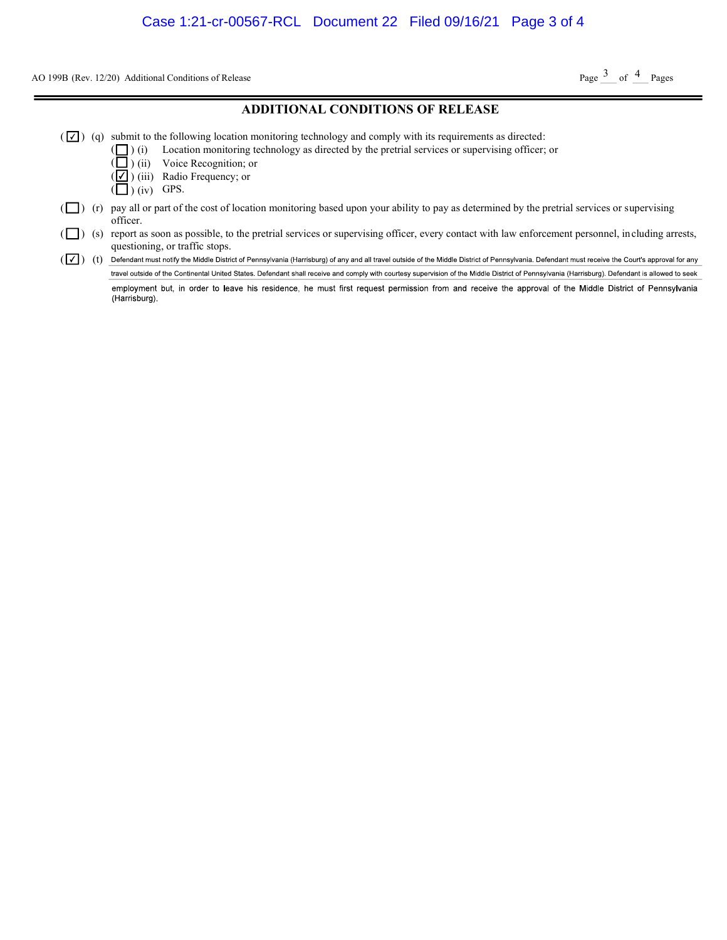AO 199B (Rev. 12/20) Additional Conditions of Release

Page  $3$  of  $4$  Pages

### ADDITIONAL CONDITIONS OF RELEASE

- $(\sqrt{\phantom{x}})$  (q) submit to the following location monitoring technology and comply with its requirements as directed:
	- ( ) (i) Location monitoring technology as directed by the pretrial services or supervising officer; or
		- ) (ii) Voice Recognition; or
	- $(\sqrt{\phantom{a}})$  (iii) Radio Frequency; or
	- $\left(\Box\right)$  (iv) GPS.

(

- $(\Box)$  (r) pay all or part of the cost of location monitoring based upon your ability to pay as determined by the pretrial services or supervising officer.
- ( $\Box$ ) (s) report as soon as possible, to the pretrial services or supervising officer, every contact with law enforcement personnel, including arrests, questioning, or traffic stops.
- (  $\boxed{\checkmark}$ ) (t) Defendant must notify the Middle District of Pennsylvania (Harrisburg) of any and all travel outside of the Middle District of Pennsylvania. Defendant must receive the Court's approval for any travel outside of the Continental United States. Defendant shall receive and comply with courtesy supervision of the Middle District of Pennsylvania (Harrisburg). Defendant is allowed to seek

employment but, in order to leave his residence, he must first request permission from and receive the approval of the Middle District of Pennsylvania (Harrisburg).